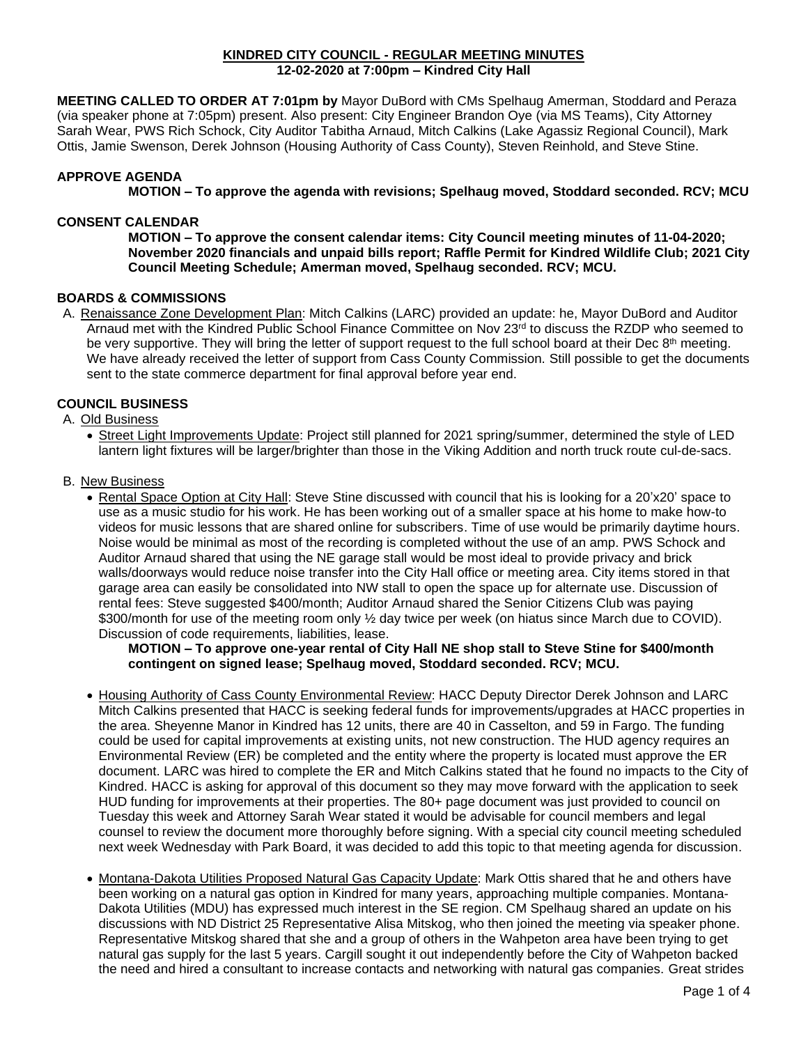#### **KINDRED CITY COUNCIL - REGULAR MEETING MINUTES 12-02-2020 at 7:00pm – Kindred City Hall**

**MEETING CALLED TO ORDER AT 7:01pm by** Mayor DuBord with CMs Spelhaug Amerman, Stoddard and Peraza (via speaker phone at 7:05pm) present. Also present: City Engineer Brandon Oye (via MS Teams), City Attorney Sarah Wear, PWS Rich Schock, City Auditor Tabitha Arnaud, Mitch Calkins (Lake Agassiz Regional Council), Mark Ottis, Jamie Swenson, Derek Johnson (Housing Authority of Cass County), Steven Reinhold, and Steve Stine.

# **APPROVE AGENDA**

**MOTION – To approve the agenda with revisions; Spelhaug moved, Stoddard seconded. RCV; MCU** 

### **CONSENT CALENDAR**

**MOTION – To approve the consent calendar items: City Council meeting minutes of 11-04-2020; November 2020 financials and unpaid bills report; Raffle Permit for Kindred Wildlife Club; 2021 City Council Meeting Schedule; Amerman moved, Spelhaug seconded. RCV; MCU.**

## **BOARDS & COMMISSIONS**

A. Renaissance Zone Development Plan: Mitch Calkins (LARC) provided an update: he, Mayor DuBord and Auditor Arnaud met with the Kindred Public School Finance Committee on Nov 23<sup>rd</sup> to discuss the RZDP who seemed to be very supportive. They will bring the letter of support request to the full school board at their Dec 8<sup>th</sup> meeting. We have already received the letter of support from Cass County Commission. Still possible to get the documents sent to the state commerce department for final approval before year end.

### **COUNCIL BUSINESS**

### A. Old Business

• Street Light Improvements Update: Project still planned for 2021 spring/summer, determined the style of LED lantern light fixtures will be larger/brighter than those in the Viking Addition and north truck route cul-de-sacs.

### B. New Business

• Rental Space Option at City Hall: Steve Stine discussed with council that his is looking for a 20'x20' space to use as a music studio for his work. He has been working out of a smaller space at his home to make how-to videos for music lessons that are shared online for subscribers. Time of use would be primarily daytime hours. Noise would be minimal as most of the recording is completed without the use of an amp. PWS Schock and Auditor Arnaud shared that using the NE garage stall would be most ideal to provide privacy and brick walls/doorways would reduce noise transfer into the City Hall office or meeting area. City items stored in that garage area can easily be consolidated into NW stall to open the space up for alternate use. Discussion of rental fees: Steve suggested \$400/month; Auditor Arnaud shared the Senior Citizens Club was paying \$300/month for use of the meeting room only  $\frac{1}{2}$  day twice per week (on hiatus since March due to COVID). Discussion of code requirements, liabilities, lease.

**MOTION – To approve one-year rental of City Hall NE shop stall to Steve Stine for \$400/month contingent on signed lease; Spelhaug moved, Stoddard seconded. RCV; MCU.**

- Housing Authority of Cass County Environmental Review: HACC Deputy Director Derek Johnson and LARC Mitch Calkins presented that HACC is seeking federal funds for improvements/upgrades at HACC properties in the area. Sheyenne Manor in Kindred has 12 units, there are 40 in Casselton, and 59 in Fargo. The funding could be used for capital improvements at existing units, not new construction. The HUD agency requires an Environmental Review (ER) be completed and the entity where the property is located must approve the ER document. LARC was hired to complete the ER and Mitch Calkins stated that he found no impacts to the City of Kindred. HACC is asking for approval of this document so they may move forward with the application to seek HUD funding for improvements at their properties. The 80+ page document was just provided to council on Tuesday this week and Attorney Sarah Wear stated it would be advisable for council members and legal counsel to review the document more thoroughly before signing. With a special city council meeting scheduled next week Wednesday with Park Board, it was decided to add this topic to that meeting agenda for discussion.
- Montana-Dakota Utilities Proposed Natural Gas Capacity Update: Mark Ottis shared that he and others have been working on a natural gas option in Kindred for many years, approaching multiple companies. Montana-Dakota Utilities (MDU) has expressed much interest in the SE region. CM Spelhaug shared an update on his discussions with ND District 25 Representative Alisa Mitskog, who then joined the meeting via speaker phone. Representative Mitskog shared that she and a group of others in the Wahpeton area have been trying to get natural gas supply for the last 5 years. Cargill sought it out independently before the City of Wahpeton backed the need and hired a consultant to increase contacts and networking with natural gas companies. Great strides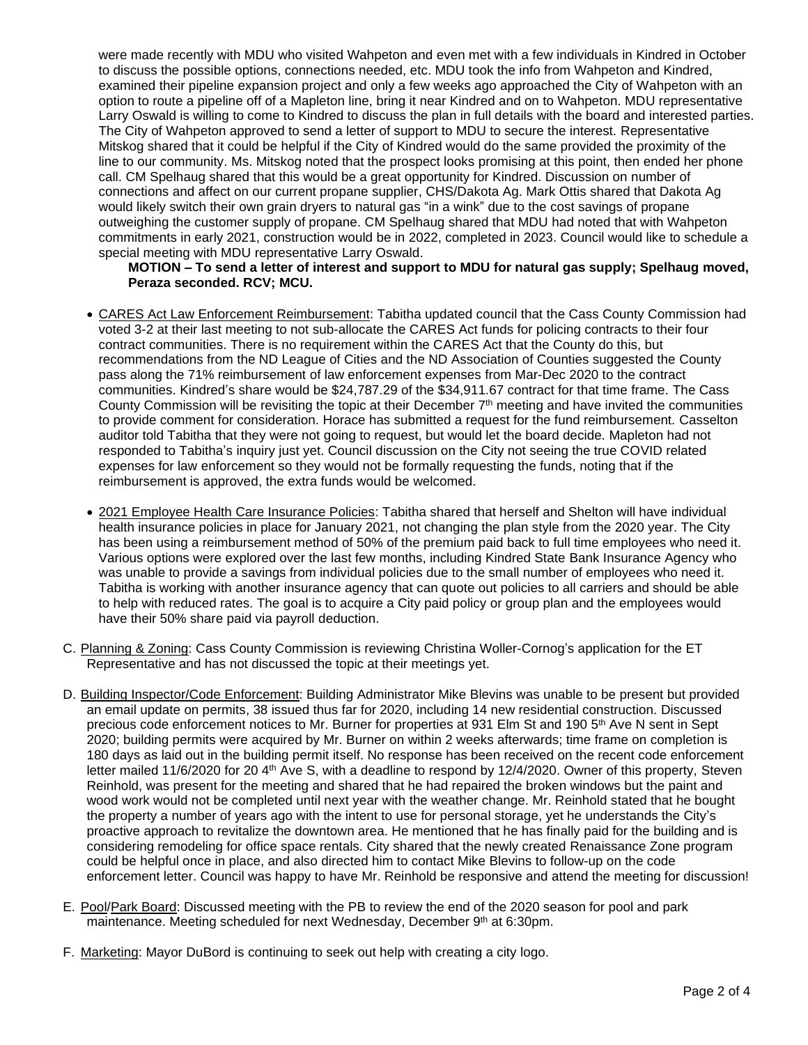were made recently with MDU who visited Wahpeton and even met with a few individuals in Kindred in October to discuss the possible options, connections needed, etc. MDU took the info from Wahpeton and Kindred, examined their pipeline expansion project and only a few weeks ago approached the City of Wahpeton with an option to route a pipeline off of a Mapleton line, bring it near Kindred and on to Wahpeton. MDU representative Larry Oswald is willing to come to Kindred to discuss the plan in full details with the board and interested parties. The City of Wahpeton approved to send a letter of support to MDU to secure the interest. Representative Mitskog shared that it could be helpful if the City of Kindred would do the same provided the proximity of the line to our community. Ms. Mitskog noted that the prospect looks promising at this point, then ended her phone call. CM Spelhaug shared that this would be a great opportunity for Kindred. Discussion on number of connections and affect on our current propane supplier, CHS/Dakota Ag. Mark Ottis shared that Dakota Ag would likely switch their own grain dryers to natural gas "in a wink" due to the cost savings of propane outweighing the customer supply of propane. CM Spelhaug shared that MDU had noted that with Wahpeton commitments in early 2021, construction would be in 2022, completed in 2023. Council would like to schedule a special meeting with MDU representative Larry Oswald.

### **MOTION – To send a letter of interest and support to MDU for natural gas supply; Spelhaug moved, Peraza seconded. RCV; MCU.**

- CARES Act Law Enforcement Reimbursement: Tabitha updated council that the Cass County Commission had voted 3-2 at their last meeting to not sub-allocate the CARES Act funds for policing contracts to their four contract communities. There is no requirement within the CARES Act that the County do this, but recommendations from the ND League of Cities and the ND Association of Counties suggested the County pass along the 71% reimbursement of law enforcement expenses from Mar-Dec 2020 to the contract communities. Kindred's share would be \$24,787.29 of the \$34,911.67 contract for that time frame. The Cass County Commission will be revisiting the topic at their December 7th meeting and have invited the communities to provide comment for consideration. Horace has submitted a request for the fund reimbursement. Casselton auditor told Tabitha that they were not going to request, but would let the board decide. Mapleton had not responded to Tabitha's inquiry just yet. Council discussion on the City not seeing the true COVID related expenses for law enforcement so they would not be formally requesting the funds, noting that if the reimbursement is approved, the extra funds would be welcomed.
- 2021 Employee Health Care Insurance Policies: Tabitha shared that herself and Shelton will have individual health insurance policies in place for January 2021, not changing the plan style from the 2020 year. The City has been using a reimbursement method of 50% of the premium paid back to full time employees who need it. Various options were explored over the last few months, including Kindred State Bank Insurance Agency who was unable to provide a savings from individual policies due to the small number of employees who need it. Tabitha is working with another insurance agency that can quote out policies to all carriers and should be able to help with reduced rates. The goal is to acquire a City paid policy or group plan and the employees would have their 50% share paid via payroll deduction.
- C. Planning & Zoning: Cass County Commission is reviewing Christina Woller-Cornog's application for the ET Representative and has not discussed the topic at their meetings yet.
- D. Building Inspector/Code Enforcement: Building Administrator Mike Blevins was unable to be present but provided an email update on permits, 38 issued thus far for 2020, including 14 new residential construction. Discussed precious code enforcement notices to Mr. Burner for properties at 931 Elm St and 190 5<sup>th</sup> Ave N sent in Sept 2020; building permits were acquired by Mr. Burner on within 2 weeks afterwards; time frame on completion is 180 days as laid out in the building permit itself. No response has been received on the recent code enforcement letter mailed 11/6/2020 for 20 4<sup>th</sup> Ave S, with a deadline to respond by 12/4/2020. Owner of this property, Steven Reinhold, was present for the meeting and shared that he had repaired the broken windows but the paint and wood work would not be completed until next year with the weather change. Mr. Reinhold stated that he bought the property a number of years ago with the intent to use for personal storage, yet he understands the City's proactive approach to revitalize the downtown area. He mentioned that he has finally paid for the building and is considering remodeling for office space rentals. City shared that the newly created Renaissance Zone program could be helpful once in place, and also directed him to contact Mike Blevins to follow-up on the code enforcement letter. Council was happy to have Mr. Reinhold be responsive and attend the meeting for discussion!
- E. Pool/Park Board: Discussed meeting with the PB to review the end of the 2020 season for pool and park maintenance. Meeting scheduled for next Wednesday, December 9<sup>th</sup> at 6:30pm.
- F. Marketing: Mayor DuBord is continuing to seek out help with creating a city logo.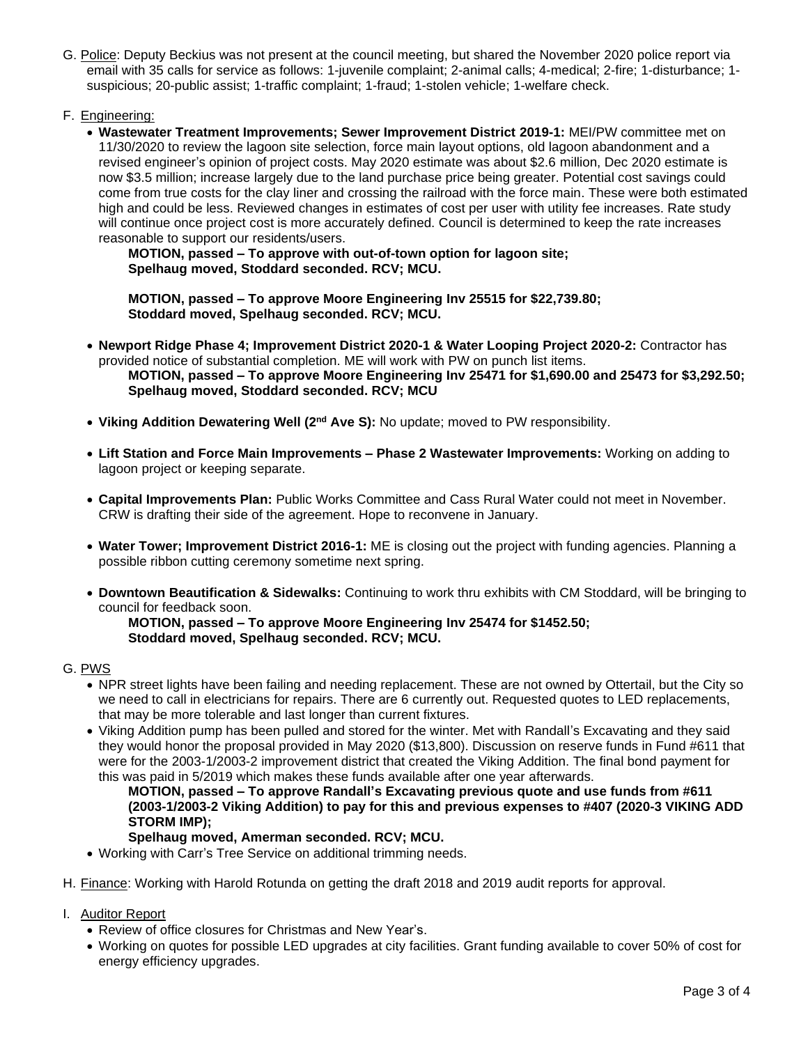- G. Police: Deputy Beckius was not present at the council meeting, but shared the November 2020 police report via email with 35 calls for service as follows: 1-juvenile complaint; 2-animal calls; 4-medical; 2-fire; 1-disturbance; 1 suspicious; 20-public assist; 1-traffic complaint; 1-fraud; 1-stolen vehicle; 1-welfare check.
- F. Engineering:
	- **Wastewater Treatment Improvements; Sewer Improvement District 2019-1:** MEI/PW committee met on 11/30/2020 to review the lagoon site selection, force main layout options, old lagoon abandonment and a revised engineer's opinion of project costs. May 2020 estimate was about \$2.6 million, Dec 2020 estimate is now \$3.5 million; increase largely due to the land purchase price being greater. Potential cost savings could come from true costs for the clay liner and crossing the railroad with the force main. These were both estimated high and could be less. Reviewed changes in estimates of cost per user with utility fee increases. Rate study will continue once project cost is more accurately defined. Council is determined to keep the rate increases reasonable to support our residents/users.

**MOTION, passed – To approve with out-of-town option for lagoon site; Spelhaug moved, Stoddard seconded. RCV; MCU.**

**MOTION, passed – To approve Moore Engineering Inv 25515 for \$22,739.80; Stoddard moved, Spelhaug seconded. RCV; MCU.**

- **Newport Ridge Phase 4; Improvement District 2020-1 & Water Looping Project 2020-2:** Contractor has provided notice of substantial completion. ME will work with PW on punch list items. **MOTION, passed – To approve Moore Engineering Inv 25471 for \$1,690.00 and 25473 for \$3,292.50; Spelhaug moved, Stoddard seconded. RCV; MCU**
- **Viking Addition Dewatering Well (2nd Ave S):** No update; moved to PW responsibility.
- **Lift Station and Force Main Improvements – Phase 2 Wastewater Improvements:** Working on adding to lagoon project or keeping separate.
- **Capital Improvements Plan:** Public Works Committee and Cass Rural Water could not meet in November. CRW is drafting their side of the agreement. Hope to reconvene in January.
- **Water Tower; Improvement District 2016-1:** ME is closing out the project with funding agencies. Planning a possible ribbon cutting ceremony sometime next spring.
- **Downtown Beautification & Sidewalks:** Continuing to work thru exhibits with CM Stoddard, will be bringing to council for feedback soon.

**MOTION, passed – To approve Moore Engineering Inv 25474 for \$1452.50; Stoddard moved, Spelhaug seconded. RCV; MCU.**

## G. PWS

- NPR street lights have been failing and needing replacement. These are not owned by Ottertail, but the City so we need to call in electricians for repairs. There are 6 currently out. Requested quotes to LED replacements, that may be more tolerable and last longer than current fixtures.
- Viking Addition pump has been pulled and stored for the winter. Met with Randall's Excavating and they said they would honor the proposal provided in May 2020 (\$13,800). Discussion on reserve funds in Fund #611 that were for the 2003-1/2003-2 improvement district that created the Viking Addition. The final bond payment for this was paid in 5/2019 which makes these funds available after one year afterwards.

**MOTION, passed – To approve Randall's Excavating previous quote and use funds from #611 (2003-1/2003-2 Viking Addition) to pay for this and previous expenses to #407 (2020-3 VIKING ADD STORM IMP);**

## **Spelhaug moved, Amerman seconded. RCV; MCU.**

• Working with Carr's Tree Service on additional trimming needs.

H. Finance: Working with Harold Rotunda on getting the draft 2018 and 2019 audit reports for approval.

- I. Auditor Report
	- Review of office closures for Christmas and New Year's.
	- Working on quotes for possible LED upgrades at city facilities. Grant funding available to cover 50% of cost for energy efficiency upgrades.